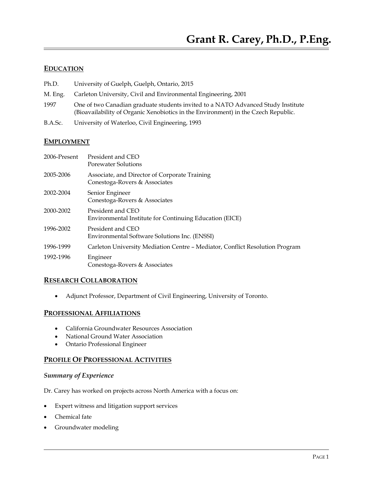### **EDUCATION**

- Ph.D. University of Guelph, Guelph, Ontario, 2015
- M. Eng. Carleton University, Civil and Environmental Engineering, 2001
- 1997 One of two Canadian graduate students invited to a NATO Advanced Study Institute (Bioavailability of Organic Xenobiotics in the Environment) in the Czech Republic.
- B.A.Sc. University of Waterloo, Civil Engineering, 1993

### **EMPLOYMENT**

| 2006-Present | President and CEO<br><b>Porewater Solutions</b>                                |
|--------------|--------------------------------------------------------------------------------|
| 2005-2006    | Associate, and Director of Corporate Training<br>Conestoga-Rovers & Associates |
| 2002-2004    | Senior Engineer<br>Conestoga-Rovers & Associates                               |
| 2000-2002    | President and CEO<br>Environmental Institute for Continuing Education (EICE)   |
| 1996-2002    | President and CEO<br>Environmental Software Solutions Inc. (ENSSI)             |
| 1996-1999    | Carleton University Mediation Centre - Mediator, Conflict Resolution Program   |
| 1992-1996    | Engineer<br>Conestoga-Rovers & Associates                                      |

### **RESEARCH COLLABORATION**

Adjunct Professor, Department of Civil Engineering, University of Toronto.

### **PROFESSIONAL AFFILIATIONS**

- California Groundwater Resources Association
- National Ground Water Association
- Ontario Professional Engineer

### **PROFILE OF PROFESSIONAL ACTIVITIES**

# *Summary of Experience*

Dr. Carey has worked on projects across North America with a focus on:

- Expert witness and litigation support services
- Chemical fate
- Groundwater modeling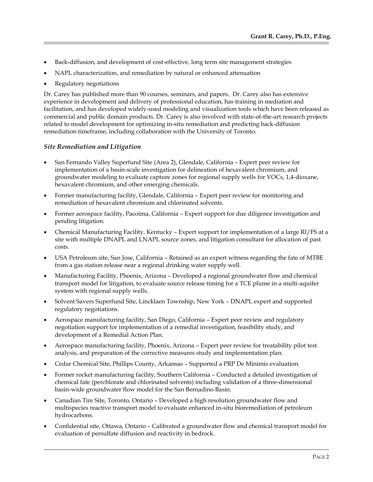- Back-diffusion, and development of cost-effective, long term site management strategies
- NAPL characterization, and remediation by natural or enhanced attenuation
- Regulatory negotiations

Dr. Carey has published more than 90 courses, seminars, and papers. Dr. Carey also has extensive experience in development and delivery of professional education, has training in mediation and facilitation, and has developed widely-used modeling and visualization tools which have been released as commercial and public domain products. Dr. Carey is also involved with state-of-the-art research projects related to model development for optimizing in-situ remediation and predicting back-diffusion remediation timeframe, including collaboration with the University of Toronto.

#### *Site Remediation and Litigation*

- San Fernando Valley Superfund Site (Area 2), Glendale, California Expert peer review for implementation of a basin-scale investigation for delineation of hexavalent chromium, and groundwater modeling to evaluate capture zones for regional supply wells for VOCs, 1,4-dioxane, hexavalent chromium, and other emerging chemicals.
- Former manufacturing facility, Glendale, California Expert peer review for monitoring and remediation of hexavalent chromium and chlorinated solvents.
- Former aerospace facility, Pacoima, California Expert support for due diligence investigation and pending litigation.
- Chemical Manufacturing Facility, Kentucky Expert support for implementation of a large RI/FS at a site with multiple DNAPL and LNAPL source zones, and litigation consultant for allocation of past costs.
- USA Petroleum site, San Jose, California Retained as an expert witness regarding the fate of MTBE from a gas station release near a regional drinking water supply well.
- Manufacturing Facility, Phoenix, Arizona Developed a regional groundwater flow and chemical transport model for litigation, to evaluate source release timing for a TCE plume in a multi-aquifer system with regional supply wells.
- Solvent Savers Superfund Site, Lincklaen Township, New York DNAPL expert and supported regulatory negotiations.
- Aerospace manufacturing facility, San Diego, California Expert peer review and regulatory negotiation support for implementation of a remedial investigation, feasibility study, and development of a Remedial Action Plan.
- Aerospace manufacturing facility, Phoenix, Arizona Expert peer review for treatability pilot test analysis, and preparation of the corrective measures study and implementation plan.
- Cedar Chemical Site, Phillips County, Arkansas Supported a PRP De Minimis evaluation.
- Former rocket manufacturing facility, Southern California Conducted a detailed investigation of chemical fate (perchlorate and chlorinated solvents) including validation of a three-dimensional basin-wide groundwater flow model for the San Bernadino Basin.
- Canadian Tire Site, Toronto, Ontario Developed a high resolution groundwater flow and multispecies reactive transport model to evaluate enhanced in-situ bioremediation of petroleum hydrocarbons.
- Confidential site, Ottawa, Ontario Calibrated a groundwater flow and chemical transport model for evaluation of persulfate diffusion and reactivity in bedrock.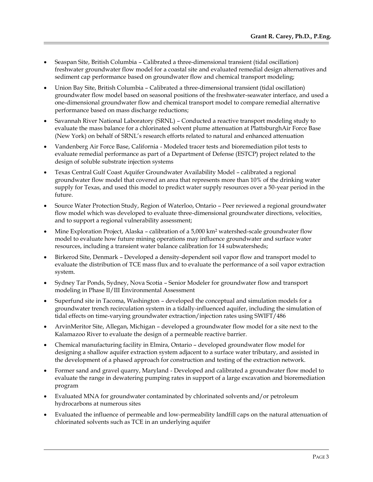- Seaspan Site, British Columbia Calibrated a three-dimensional transient (tidal oscillation) freshwater groundwater flow model for a coastal site and evaluated remedial design alternatives and sediment cap performance based on groundwater flow and chemical transport modeling;
- Union Bay Site, British Columbia Calibrated a three-dimensional transient (tidal oscillation) groundwater flow model based on seasonal positions of the freshwater-seawater interface, and used a one-dimensional groundwater flow and chemical transport model to compare remedial alternative performance based on mass discharge reductions;
- Savannah River National Laboratory (SRNL) Conducted a reactive transport modeling study to evaluate the mass balance for a chlorinated solvent plume attenuation at PlattsburghAir Force Base (New York) on behalf of SRNL's research efforts related to natural and enhanced attenuation
- Vandenberg Air Force Base, California Modeled tracer tests and bioremediation pilot tests to evaluate remedial performance as part of a Department of Defense (ESTCP) project related to the design of soluble substrate injection systems
- Texas Central Gulf Coast Aquifer Groundwater Availability Model calibrated a regional groundwater flow model that covered an area that represents more than 10% of the drinking water supply for Texas, and used this model to predict water supply resources over a 50-year period in the future.
- Source Water Protection Study, Region of Waterloo, Ontario Peer reviewed a regional groundwater flow model which was developed to evaluate three-dimensional groundwater directions, velocities, and to support a regional vulnerability assessment;
- Mine Exploration Project, Alaska calibration of a 5,000 km<sup>2</sup> watershed-scale groundwater flow model to evaluate how future mining operations may influence groundwater and surface water resources, including a transient water balance calibration for 14 subwatersheds;
- Birkerod Site, Denmark Developed a density-dependent soil vapor flow and transport model to evaluate the distribution of TCE mass flux and to evaluate the performance of a soil vapor extraction system.
- Sydney Tar Ponds, Sydney, Nova Scotia Senior Modeler for groundwater flow and transport modeling in Phase II/III Environmental Assessment
- Superfund site in Tacoma, Washington developed the conceptual and simulation models for a groundwater trench recirculation system in a tidally-influenced aquifer, including the simulation of tidal effects on time-varying groundwater extraction/injection rates using SWIFT/486
- ArvinMeritor Site, Allegan, Michigan developed a groundwater flow model for a site next to the Kalamazoo River to evaluate the design of a permeable reactive barrier.
- Chemical manufacturing facility in Elmira, Ontario developed groundwater flow model for designing a shallow aquifer extraction system adjacent to a surface water tributary, and assisted in the development of a phased approach for construction and testing of the extraction network.
- Former sand and gravel quarry, Maryland Developed and calibrated a groundwater flow model to evaluate the range in dewatering pumping rates in support of a large excavation and bioremediation program
- Evaluated MNA for groundwater contaminated by chlorinated solvents and/or petroleum hydrocarbons at numerous sites
- Evaluated the influence of permeable and low-permeability landfill caps on the natural attenuation of chlorinated solvents such as TCE in an underlying aquifer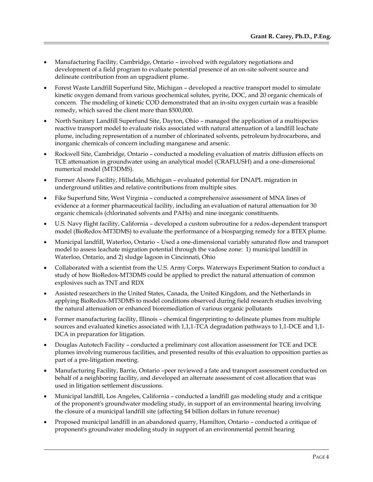- Manufacturing Facility, Cambridge, Ontario involved with regulatory negotiations and development of a field program to evaluate potential presence of an on-site solvent source and delineate contribution from an upgradient plume.
- Forest Waste Landfill Superfund Site, Michigan developed a reactive transport model to simulate kinetic oxygen demand from various geochemical solutes, pyrite, DOC, and 20 organic chemicals of concern. The modeling of kinetic COD demonstrated that an in-situ oxygen curtain was a feasible remedy, which saved the client more than \$500,000.
- North Sanitary Landfill Superfund Site, Dayton, Ohio managed the application of a multispecies reactive transport model to evaluate risks associated with natural attenuation of a landfill leachate plume, including representation of a number of chlorinated solvents, petroleum hydrocarbons, and inorganic chemicals of concern including manganese and arsenic.
- Rockwell Site, Cambridge, Ontario conducted a modeling evaluation of matrix diffusion effects on TCE attenuation in groundwater using an analytical model (CRAFLUSH) and a one-dimensional numerical model (MT3DMS).
- Former Alsons Facility, Hillsdale, Michigan evaluated potential for DNAPL migration in underground utilities and relative contributions from multiple sites.
- Fike Superfund Site, West Virginia conducted a comprehensive assessment of MNA lines of evidence at a former pharmaceutical facility, including an evaluation of natural attenuation for 30 organic chemicals (chlorinated solvents and PAHs) and nine inorganic constituents.
- U.S. Navy flight facility, California developed a custom subroutine for a redox-dependent transport model (BioRedox-MT3DMS) to evaluate the performance of a biosparging remedy for a BTEX plume.
- Municipal landfill, Waterloo, Ontario Used a one-dimensional variably saturated flow and transport model to assess leachate migration potential through the vadose zone: 1) municipal landfill in Waterloo, Ontario, and 2) sludge lagoon in Cincinnati, Ohio
- Collaborated with a scientist from the U.S. Army Corps. Waterways Experiment Station to conduct a study of how BioRedox-MT3DMS could be applied to predict the natural attenuation of common explosives such as TNT and RDX
- Assisted researchers in the United States, Canada, the United Kingdom, and the Netherlands in applying BioRedox-MT3DMS to model conditions observed during field research studies involving the natural attenuation or enhanced bioremediation of various organic pollutants
- Former manufacturing facility, Illinois chemical fingerprinting to delineate plumes from multiple sources and evaluated kinetics associated with 1,1,1-TCA degradation pathways to 1,1-DCE and 1,1- DCA in preparation for litigation.
- Douglas Autotech Facility conducted a preliminary cost allocation assessment for TCE and DCE plumes involving numerous facilities, and presented results of this evaluation to opposition parties as part of a pre-litigation meeting.
- Manufacturing Facility, Barrie, Ontario –peer reviewed a fate and transport assessment conducted on behalf of a neighboring facility, and developed an alternate assessment of cost allocation that was used in litigation settlement discussions.
- Municipal landfill, Los Angeles, California conducted a landfill gas modeling study and a critique of the proponent's groundwater modeling study, in support of an environmental hearing involving the closure of a municipal landfill site (affecting \$4 billion dollars in future revenue)
- Proposed municipal landfill in an abandoned quarry, Hamilton, Ontario conducted a critique of proponent's groundwater modeling study in support of an environmental permit hearing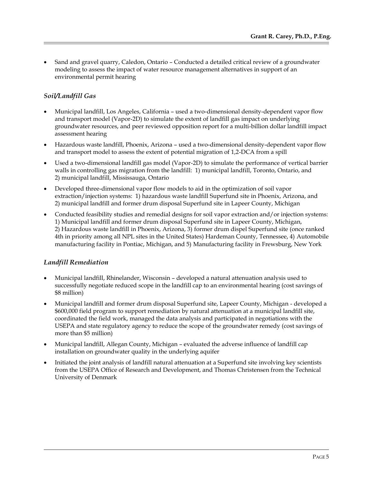Sand and gravel quarry, Caledon, Ontario – Conducted a detailed critical review of a groundwater modeling to assess the impact of water resource management alternatives in support of an environmental permit hearing

# *Soil/Landfill Gas*

- Municipal landfill, Los Angeles, California used a two-dimensional density-dependent vapor flow and transport model (Vapor-2D) to simulate the extent of landfill gas impact on underlying groundwater resources, and peer reviewed opposition report for a multi-billion dollar landfill impact assessment hearing
- Hazardous waste landfill, Phoenix, Arizona used a two-dimensional density-dependent vapor flow and transport model to assess the extent of potential migration of 1,2-DCA from a spill
- Used a two-dimensional landfill gas model (Vapor-2D) to simulate the performance of vertical barrier walls in controlling gas migration from the landfill: 1) municipal landfill, Toronto, Ontario, and 2) municipal landfill, Mississauga, Ontario
- Developed three-dimensional vapor flow models to aid in the optimization of soil vapor extraction/injection systems: 1) hazardous waste landfill Superfund site in Phoenix, Arizona, and 2) municipal landfill and former drum disposal Superfund site in Lapeer County, Michigan
- Conducted feasibility studies and remedial designs for soil vapor extraction and/or injection systems: 1) Municipal landfill and former drum disposal Superfund site in Lapeer County, Michigan, 2) Hazardous waste landfill in Phoenix, Arizona, 3) former drum dispel Superfund site (once ranked 4th in priority among all NPL sites in the United States) Hardeman County, Tennessee, 4) Automobile manufacturing facility in Pontiac, Michigan, and 5) Manufacturing facility in Frewsburg, New York

# *Landfill Remediation*

- Municipal landfill, Rhinelander, Wisconsin developed a natural attenuation analysis used to successfully negotiate reduced scope in the landfill cap to an environmental hearing (cost savings of \$8 million)
- Municipal landfill and former drum disposal Superfund site, Lapeer County, Michigan developed a \$600,000 field program to support remediation by natural attenuation at a municipal landfill site, coordinated the field work, managed the data analysis and participated in negotiations with the USEPA and state regulatory agency to reduce the scope of the groundwater remedy (cost savings of more than \$5 million)
- Municipal landfill, Allegan County, Michigan evaluated the adverse influence of landfill cap installation on groundwater quality in the underlying aquifer
- Initiated the joint analysis of landfill natural attenuation at a Superfund site involving key scientists from the USEPA Office of Research and Development, and Thomas Christensen from the Technical University of Denmark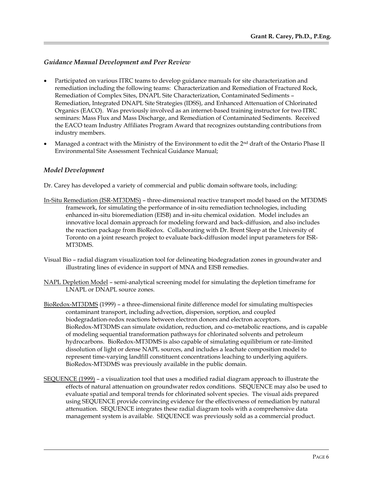# *Guidance Manual Development and Peer Review*

- Participated on various ITRC teams to develop guidance manuals for site characterization and remediation including the following teams: Characterization and Remediation of Fractured Rock, Remediation of Complex Sites, DNAPL Site Characterization, Contaminated Sediments – Remediation, Integrated DNAPL Site Strategies (IDSS), and Enhanced Attenuation of Chlorinated Organics (EACO). Was previously involved as an internet-based training instructor for two ITRC seminars: Mass Flux and Mass Discharge, and Remediation of Contaminated Sediments. Received the EACO team Industry Affiliates Program Award that recognizes outstanding contributions from industry members.
- Managed a contract with the Ministry of the Environment to edit the 2nd draft of the Ontario Phase II Environmental Site Assessment Technical Guidance Manual;

### *Model Development*

Dr. Carey has developed a variety of commercial and public domain software tools, including:

- In-Situ Remediation (ISR-MT3DMS) three-dimensional reactive transport model based on the MT3DMS framework, for simulating the performance of in-situ remediation technologies, including enhanced in-situ bioremediation (EISB) and in-situ chemical oxidation. Model includes an innovative local domain approach for modeling forward and back-diffusion, and also includes the reaction package from BioRedox. Collaborating with Dr. Brent Sleep at the University of Toronto on a joint research project to evaluate back-diffusion model input parameters for ISR-MT3DMS.
- Visual Bio radial diagram visualization tool for delineating biodegradation zones in groundwater and illustrating lines of evidence in support of MNA and EISB remedies.
- NAPL Depletion Model semi-analytical screening model for simulating the depletion timeframe for LNAPL or DNAPL source zones.
- BioRedox-MT3DMS (1999) a three-dimensional finite difference model for simulating multispecies contaminant transport, including advection, dispersion, sorption, and coupled biodegradation-redox reactions between electron donors and electron acceptors. BioRedox-MT3DMS can simulate oxidation, reduction, and co-metabolic reactions, and is capable of modeling sequential transformation pathways for chlorinated solvents and petroleum hydrocarbons. BioRedox-MT3DMS is also capable of simulating equilibrium or rate-limited dissolution of light or dense NAPL sources, and includes a leachate composition model to represent time-varying landfill constituent concentrations leaching to underlying aquifers. BioRedox-MT3DMS was previously available in the public domain.
- SEQUENCE (1999) a visualization tool that uses a modified radial diagram approach to illustrate the effects of natural attenuation on groundwater redox conditions. SEQUENCE may also be used to evaluate spatial and temporal trends for chlorinated solvent species. The visual aids prepared using SEQUENCE provide convincing evidence for the effectiveness of remediation by natural attenuation. SEQUENCE integrates these radial diagram tools with a comprehensive data management system is available. SEQUENCE was previously sold as a commercial product.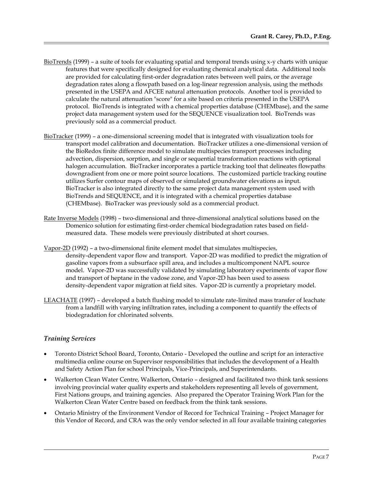- BioTrends (1999) a suite of tools for evaluating spatial and temporal trends using x-y charts with unique features that were specifically designed for evaluating chemical analytical data. Additional tools are provided for calculating first-order degradation rates between well pairs, or the average degradation rates along a flowpath based on a log-linear regression analysis, using the methods presented in the USEPA and AFCEE natural attenuation protocols. Another tool is provided to calculate the natural attenuation "score" for a site based on criteria presented in the USEPA protocol. BioTrends is integrated with a chemical properties database (CHEMbase), and the same project data management system used for the SEQUENCE visualization tool. BioTrends was previously sold as a commercial product.
- BioTracker (1999) a one-dimensional screening model that is integrated with visualization tools for transport model calibration and documentation. BioTracker utilizes a one-dimensional version of the BioRedox finite difference model to simulate multispecies transport processes including advection, dispersion, sorption, and single or sequential transformation reactions with optional halogen accumulation. BioTracker incorporates a particle tracking tool that delineates flowpaths downgradient from one or more point source locations. The customized particle tracking routine utilizes Surfer contour maps of observed or simulated groundwater elevations as input. BioTracker is also integrated directly to the same project data management system used with BioTrends and SEQUENCE, and it is integrated with a chemical properties database (CHEMbase). BioTracker was previously sold as a commercial product.
- Rate Inverse Models (1998) two-dimensional and three-dimensional analytical solutions based on the Domenico solution for estimating first-order chemical biodegradation rates based on fieldmeasured data. These models were previously distributed at short courses.
- Vapor-2D (1992) a two-dimensional finite element model that simulates multispecies, density-dependent vapor flow and transport. Vapor-2D was modified to predict the migration of gasoline vapors from a subsurface spill area, and includes a multicomponent NAPL source model. Vapor-2D was successfully validated by simulating laboratory experiments of vapor flow and transport of heptane in the vadose zone, and Vapor-2D has been used to assess density-dependent vapor migration at field sites. Vapor-2D is currently a proprietary model.
- LEACHATE (1997) developed a batch flushing model to simulate rate-limited mass transfer of leachate from a landfill with varying infiltration rates, including a component to quantify the effects of biodegradation for chlorinated solvents.

# *Training Services*

- Toronto District School Board, Toronto, Ontario Developed the outline and script for an interactive multimedia online course on Supervisor responsibilities that includes the development of a Health and Safety Action Plan for school Principals, Vice-Principals, and Superintendants.
- Walkerton Clean Water Centre, Walkerton, Ontario designed and facilitated two think tank sessions involving provincial water quality experts and stakeholders representing all levels of government, First Nations groups, and training agencies. Also prepared the Operator Training Work Plan for the Walkerton Clean Water Centre based on feedback from the think tank sessions.
- Ontario Ministry of the Environment Vendor of Record for Technical Training Project Manager for this Vendor of Record, and CRA was the only vendor selected in all four available training categories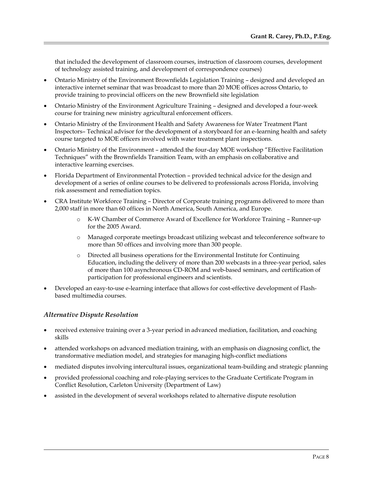that included the development of classroom courses, instruction of classroom courses, development of technology assisted training, and development of correspondence courses)

- Ontario Ministry of the Environment Brownfields Legislation Training designed and developed an interactive internet seminar that was broadcast to more than 20 MOE offices across Ontario, to provide training to provincial officers on the new Brownfield site legislation
- Ontario Ministry of the Environment Agriculture Training designed and developed a four-week course for training new ministry agricultural enforcement officers.
- Ontario Ministry of the Environment Health and Safety Awareness for Water Treatment Plant Inspectors– Technical advisor for the development of a storyboard for an e-learning health and safety course targeted to MOE officers involved with water treatment plant inspections.
- Ontario Ministry of the Environment attended the four-day MOE workshop "Effective Facilitation Techniques" with the Brownfields Transition Team, with an emphasis on collaborative and interactive learning exercises.
- Florida Department of Environmental Protection provided technical advice for the design and development of a series of online courses to be delivered to professionals across Florida, involving risk assessment and remediation topics.
- CRA Institute Workforce Training Director of Corporate training programs delivered to more than 2,000 staff in more than 60 offices in North America, South America, and Europe.
	- o K-W Chamber of Commerce Award of Excellence for Workforce Training Runner-up for the 2005 Award.
	- o Managed corporate meetings broadcast utilizing webcast and teleconference software to more than 50 offices and involving more than 300 people.
	- o Directed all business operations for the Environmental Institute for Continuing Education, including the delivery of more than 200 webcasts in a three-year period, sales of more than 100 asynchronous CD-ROM and web-based seminars, and certification of participation for professional engineers and scientists.
- Developed an easy-to-use e-learning interface that allows for cost-effective development of Flashbased multimedia courses.

# *Alternative Dispute Resolution*

- received extensive training over a 3-year period in advanced mediation, facilitation, and coaching skills
- attended workshops on advanced mediation training, with an emphasis on diagnosing conflict, the transformative mediation model, and strategies for managing high-conflict mediations
- mediated disputes involving intercultural issues, organizational team-building and strategic planning
- provided professional coaching and role-playing services to the Graduate Certificate Program in Conflict Resolution, Carleton University (Department of Law)
- assisted in the development of several workshops related to alternative dispute resolution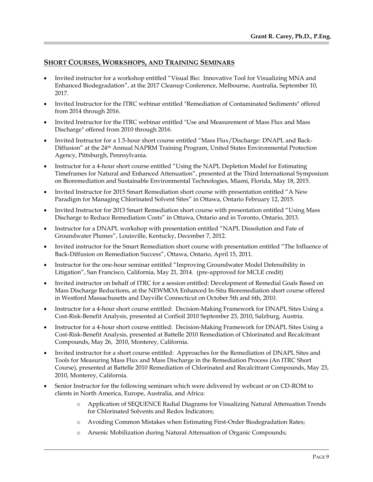## **SHORT COURSES, WORKSHOPS, AND TRAINING SEMINARS**

- Invited instructor for a workshop entitled "Visual Bio: Innovative Tool for Visualizing MNA and Enhanced Biodegradation", at the 2017 Cleanup Conference, Melbourne, Australia, September 10, 2017.
- Invited Instructor for the ITRC webinar entitled "Remediation of Contaminated Sediments" offered from 2014 through 2016.
- Invited Instructor for the ITRC webinar entitled "Use and Measurement of Mass Flux and Mass Discharge" offered from 2010 through 2016.
- Invited Instructor for a 1.5-hour short course entitled "Mass Flux/Discharge: DNAPL and Back-Diffusion" at the 24<sup>th</sup> Annual NAPRM Training Program, United States Environmental Protection Agency, Pittsburgh, Pennsylvania.
- Instructor for a 4-hour short course entitled "Using the NAPL Depletion Model for Estimating Timeframes for Natural and Enhanced Attenuation", presented at the Third International Symposium on Bioremediation and Sustainable Environmental Technologies, Miami, Florida, May 18, 2015.
- Invited Instructor for 2015 Smart Remediation short course with presentation entitled "A New Paradigm for Managing Chlorinated Solvent Sites" in Ottawa, Ontario February 12, 2015.
- Invited Instructor for 2013 Smart Remediation short course with presentation entitled "Using Mass Discharge to Reduce Remediation Costs" in Ottawa, Ontario and in Toronto, Ontario, 2013.
- Instructor for a DNAPL workshop with presentation entitled "NAPL Dissolution and Fate of Groundwater Plumes", Louisville, Kentucky, December 7, 2012.
- Invited instructor for the Smart Remediation short course with presentation entitled "The Influence of Back-Diffusion on Remediation Success", Ottawa, Ontario, April 15, 2011.
- Instructor for the one-hour seminar entitled "Improving Groundwater Model Defensibility in Litigation", San Francisco, California, May 21, 2014. (pre-approved for MCLE credit)
- Invited instructor on behalf of ITRC for a session entitled: Development of Remedial Goals Based on Mass Discharge Reductions, at the NEWMOA Enhanced In-Situ Bioremediation short course offered in Westford Massachusetts and Dayville Connecticut on October 5th and 6th, 2010.
- Instructor for a 4-hour short course entitled: Decision-Making Framework for DNAPL Sites Using a Cost-Risk-Benefit Analysis, presented at ConSoil 2010 September 23, 2010, Salzburg, Austria.
- Instructor for a 4-hour short course entitled: Decision-Making Framework for DNAPL Sites Using a Cost-Risk-Benefit Analysis, presented at Battelle 2010 Remediation of Chlorinated and Recalcitrant Compounds, May 26, 2010, Monterey, California.
- Invited instructor for a short course entitled: Approaches for the Remediation of DNAPL Sites and Tools for Measuring Mass Flux and Mass Discharge in the Remediation Process (An ITRC Short Course), presented at Battelle 2010 Remediation of Chlorinated and Recalcitrant Compounds, May 23, 2010, Monterey, California.
- Senior Instructor for the following seminars which were delivered by webcast or on CD-ROM to clients in North America, Europe, Australia, and Africa:
	- o Application of SEQUENCE Radial Diagrams for Visualizing Natural Attenuation Trends for Chlorinated Solvents and Redox Indicators;
	- o Avoiding Common Mistakes when Estimating First-Order Biodegradation Rates;
	- o Arsenic Mobilization during Natural Attenuation of Organic Compounds;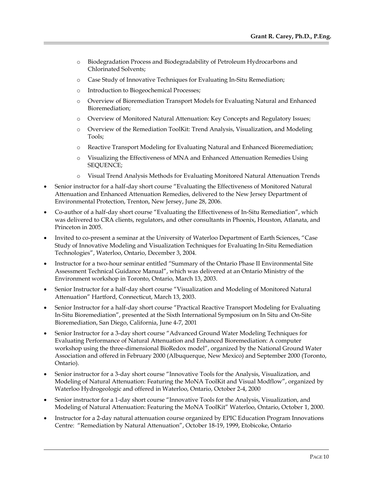- o Biodegradation Process and Biodegradability of Petroleum Hydrocarbons and Chlorinated Solvents;
- o Case Study of Innovative Techniques for Evaluating In-Situ Remediation;
- o Introduction to Biogeochemical Processes;
- o Overview of Bioremediation Transport Models for Evaluating Natural and Enhanced Bioremediation;
- o Overview of Monitored Natural Attenuation: Key Concepts and Regulatory Issues;
- o Overview of the Remediation ToolKit: Trend Analysis, Visualization, and Modeling Tools;
- o Reactive Transport Modeling for Evaluating Natural and Enhanced Bioremediation;
- o Visualizing the Effectiveness of MNA and Enhanced Attenuation Remedies Using SEQUENCE;
- o Visual Trend Analysis Methods for Evaluating Monitored Natural Attenuation Trends
- Senior instructor for a half-day short course "Evaluating the Effectiveness of Monitored Natural Attenuation and Enhanced Attenuation Remedies, delivered to the New Jersey Department of Environmental Protection, Trenton, New Jersey, June 28, 2006.
- Co-author of a half-day short course "Evaluating the Effectiveness of In-Situ Remediation", which was delivered to CRA clients, regulators, and other consultants in Phoenix, Houston, Atlanata, and Princeton in 2005.
- Invited to co-present a seminar at the University of Waterloo Department of Earth Sciences, "Case Study of Innovative Modeling and Visualization Techniques for Evaluating In-Situ Remediation Technologies", Waterloo, Ontario, December 3, 2004.
- Instructor for a two-hour seminar entitled "Summary of the Ontario Phase II Environmental Site Assessment Technical Guidance Manual", which was delivered at an Ontario Ministry of the Environment workshop in Toronto, Ontario, March 13, 2003.
- Senior Instructor for a half-day short course "Visualization and Modeling of Monitored Natural Attenuation" Hartford, Connecticut, March 13, 2003.
- Senior Instructor for a half-day short course "Practical Reactive Transport Modeling for Evaluating In-Situ Bioremediation", presented at the Sixth International Symposium on In Situ and On-Site Bioremediation, San Diego, California, June 4-7, 2001
- Senior Instructor for a 3-day short course "Advanced Ground Water Modeling Techniques for Evaluating Performance of Natural Attenuation and Enhanced Bioremediation: A computer workshop using the three-dimensional BioRedox model", organized by the National Ground Water Association and offered in February 2000 (Albuquerque, New Mexico) and September 2000 (Toronto, Ontario).
- Senior instructor for a 3-day short course "Innovative Tools for the Analysis, Visualization, and Modeling of Natural Attenuation: Featuring the MoNA ToolKit and Visual Modflow", organized by Waterloo Hydrogeologic and offered in Waterloo, Ontario, October 2-4, 2000
- Senior instructor for a 1-day short course "Innovative Tools for the Analysis, Visualization, and Modeling of Natural Attenuation: Featuring the MoNA ToolKit" Waterloo, Ontario, October 1, 2000.
- Instructor for a 2-day natural attenuation course organized by EPIC Education Program Innovations Centre: "Remediation by Natural Attenuation", October 18-19, 1999, Etobicoke, Ontario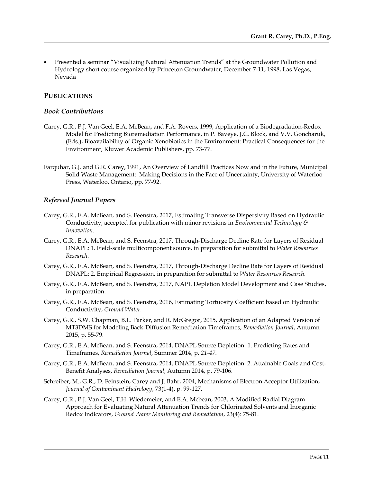Presented a seminar "Visualizing Natural Attenuation Trends" at the Groundwater Pollution and Hydrology short course organized by Princeton Groundwater, December 7-11, 1998, Las Vegas, Nevada

## **PUBLICATIONS**

#### *Book Contributions*

- Carey, G.R., P.J. Van Geel, E.A. McBean, and F.A. Rovers, 1999, Application of a Biodegradation-Redox Model for Predicting Bioremediation Performance, in P. Baveye, J.C. Block, and V.V. Goncharuk, (Eds.), Bioavailability of Organic Xenobiotics in the Environment: Practical Consequences for the Environment, Kluwer Academic Publishers, pp. 73-77.
- Farquhar, G.J. and G.R. Carey, 1991, An Overview of Landfill Practices Now and in the Future, Municipal Solid Waste Management: Making Decisions in the Face of Uncertainty, University of Waterloo Press, Waterloo, Ontario, pp. 77-92.

### *Refereed Journal Papers*

- Carey, G.R., E.A. McBean, and S. Feenstra, 2017, Estimating Transverse Dispersivity Based on Hydraulic Conductivity, accepted for publication with minor revisions in *Environmental Technology & Innovation*.
- Carey, G.R., E.A. McBean, and S. Feenstra, 2017, Through-Discharge Decline Rate for Layers of Residual DNAPL: 1. Field-scale multicomponent source, in preparation for submittal to *Water Resources Research*.
- Carey, G.R., E.A. McBean, and S. Feenstra, 2017, Through-Discharge Decline Rate for Layers of Residual DNAPL: 2. Empirical Regression, in preparation for submittal to *Water Resources Research*.
- Carey, G.R., E.A. McBean, and S. Feenstra, 2017, NAPL Depletion Model Development and Case Studies, in preparation.
- Carey, G.R., E.A. McBean, and S. Feenstra, 2016, Estimating Tortuosity Coefficient based on Hydraulic Conductivity, *Ground Water*.
- Carey, G.R., S.W. Chapman, B.L. Parker, and R. McGregor, 2015, Application of an Adapted Version of MT3DMS for Modeling Back-Diffusion Remediation Timeframes, *Remediation Journal*, Autumn 2015, p. 55-79.
- Carey, G.R., E.A. McBean, and S. Feenstra, 2014, DNAPL Source Depletion: 1. Predicting Rates and Timeframes, *Remediation Journal*, Summer 2014, p*. 21-47*.
- Carey, G.R., E.A. McBean, and S. Feenstra, 2014, DNAPL Source Depletion: 2. Attainable Goals and Cost-Benefit Analyses, *Remediation Journal*, Autumn 2014, p. 79-106.
- Schreiber, M., G.R., D. Feinstein, Carey and J. Bahr, 2004, Mechanisms of Electron Acceptor Utilization, *Journal of Contaminant Hydrology*, 73(1-4), p. 99-127.
- Carey, G.R., P.J. Van Geel, T.H. Wiedemeier, and E.A. Mcbean, 2003, A Modified Radial Diagram Approach for Evaluating Natural Attenuation Trends for Chlorinated Solvents and Inorganic Redox Indicators, *Ground Water Monitoring and Remediation*, 23(4): 75-81.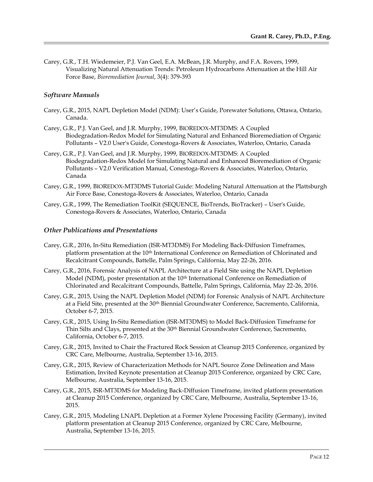Carey, G.R., T.H. Wiedemeier, P.J. Van Geel, E.A. McBean, J.R. Murphy, and F.A. Rovers, 1999, Visualizing Natural Attenuation Trends: Petroleum Hydrocarbons Attenuation at the Hill Air Force Base, *Bioremediation Journal*, 3(4): 379-393

## *Software Manuals*

- Carey, G.R., 2015, NAPL Depletion Model (NDM): User's Guide, Porewater Solutions, Ottawa, Ontario, Canada.
- Carey, G.R., P.J. Van Geel, and J.R. Murphy, 1999, BIOREDOX-MT3DMS: A Coupled Biodegradation-Redox Model for Simulating Natural and Enhanced Bioremediation of Organic Pollutants – V2.0 User's Guide, Conestoga-Rovers & Associates, Waterloo, Ontario, Canada
- Carey, G.R., P.J. Van Geel, and J.R. Murphy, 1999, BIOREDOX-MT3DMS: A Coupled Biodegradation-Redox Model for Simulating Natural and Enhanced Bioremediation of Organic Pollutants – V2.0 Verification Manual, Conestoga-Rovers & Associates, Waterloo, Ontario, Canada
- Carey, G.R., 1999, BIOREDOX-MT3DMS Tutorial Guide: Modeling Natural Attenuation at the Plattsburgh Air Force Base, Conestoga-Rovers & Associates, Waterloo, Ontario, Canada
- Carey, G.R., 1999, The Remediation ToolKit (SEQUENCE, BioTrends, BioTracker) User's Guide, Conestoga-Rovers & Associates, Waterloo, Ontario, Canada

### *Other Publications and Presentations*

- Carey, G.R., 2016, In-Situ Remediation (ISR-MT3DMS) For Modeling Back-Diffusion Timeframes, platform presentation at the 10th International Conference on Remediation of Chlorinated and Recalcitrant Compounds, Battelle, Palm Springs, California, May 22-26, 2016.
- Carey, G.R., 2016, Forensic Analysis of NAPL Architecture at a Field Site using the NAPL Depletion Model (NDM), poster presentation at the 10<sup>th</sup> International Conference on Remediation of Chlorinated and Recalcitrant Compounds, Battelle, Palm Springs, California, May 22-26, 2016.
- Carey, G.R., 2015, Using the NAPL Depletion Model (NDM) for Forensic Analysis of NAPL Architecture at a Field Site, presented at the 30th Biennial Groundwater Conference, Sacremento, California, October 6-7, 2015.
- Carey, G.R., 2015, Using In-Situ Remediation (ISR-MT3DMS) to Model Back-Diffusion Timeframe for Thin Silts and Clays, presented at the 30th Biennial Groundwater Conference, Sacremento, California, October 6-7, 2015.
- Carey, G.R., 2015, Invited to Chair the Fractured Rock Session at Cleanup 2015 Conference, organized by CRC Care, Melbourne, Australia, September 13-16, 2015.
- Carey, G.R., 2015, Review of Characterization Methods for NAPL Source Zone Delineation and Mass Estimation, Invited Keynote presentation at Cleanup 2015 Conference, organized by CRC Care, Melbourne, Australia, September 13-16, 2015.
- Carey, G.R., 2015, ISR-MT3DMS for Modeling Back-Diffusion Timeframe, invited platform presentation at Cleanup 2015 Conference, organized by CRC Care, Melbourne, Australia, September 13-16, 2015.
- Carey, G.R., 2015, Modeling LNAPL Depletion at a Former Xylene Processing Facility (Germany), invited platform presentation at Cleanup 2015 Conference, organized by CRC Care, Melbourne, Australia, September 13-16, 2015.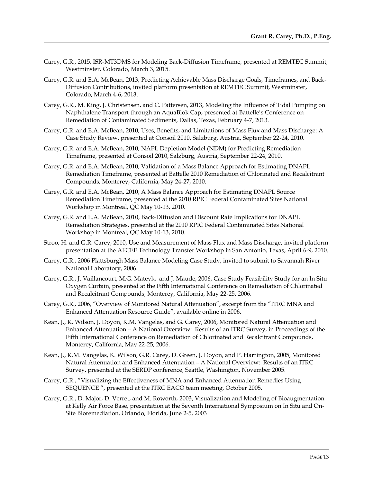- Carey, G.R., 2015, ISR-MT3DMS for Modeling Back-Diffusion Timeframe, presented at REMTEC Summit, Westminster, Colorado, March 3, 2015.
- Carey, G.R. and E.A. McBean, 2013, Predicting Achievable Mass Discharge Goals, Timeframes, and Back-Diffusion Contributions, invited platform presentation at REMTEC Summit, Westminster, Colorado, March 4-6, 2013.
- Carey, G.R., M. King, J. Christensen, and C. Pattersen, 2013, Modeling the Influence of Tidal Pumping on Naphthalene Transport through an AquaBlok Cap, presented at Battelle's Conference on Remediation of Contaminated Sediments, Dallas, Texas, February 4-7, 2013.
- Carey, G.R. and E.A. McBean, 2010, Uses, Benefits, and Limitations of Mass Flux and Mass Discharge: A Case Study Review, presented at Consoil 2010, Salzburg, Austria, September 22-24, 2010.
- Carey, G.R. and E.A. McBean, 2010, NAPL Depletion Model (NDM) for Predicting Remediation Timeframe, presented at Consoil 2010, Salzburg, Austria, September 22-24, 2010.
- Carey, G.R. and E.A. McBean, 2010, Validation of a Mass Balance Approach for Estimating DNAPL Remediation Timeframe, presented at Battelle 2010 Remediation of Chlorinated and Recalcitrant Compounds, Monterey, California, May 24-27, 2010.
- Carey, G.R. and E.A. McBean, 2010, A Mass Balance Approach for Estimating DNAPL Source Remediation Timeframe, presented at the 2010 RPIC Federal Contaminated Sites National Workshop in Montreal, QC May 10-13, 2010.
- Carey, G.R. and E.A. McBean, 2010, Back-Diffusion and Discount Rate Implications for DNAPL Remediation Strategies, presented at the 2010 RPIC Federal Contaminated Sites National Workshop in Montreal, QC May 10-13, 2010.
- Stroo, H. and G.R. Carey, 2010, Use and Measurement of Mass Flux and Mass Discharge, invited platform presentation at the AFCEE Technology Transfer Workshop in San Antonio, Texas, April 6-9, 2010.
- Carey, G.R., 2006 Plattsburgh Mass Balance Modeling Case Study, invited to submit to Savannah River National Laboratory, 2006.
- Carey, G.R., J. Vaillancourt, M.G. Mateyk, and J. Maude, 2006, Case Study Feasibility Study for an In Situ Oxygen Curtain, presented at the Fifth International Conference on Remediation of Chlorinated and Recalcitrant Compounds, Monterey, California, May 22-25, 2006.
- Carey, G.R., 2006, "Overview of Monitored Natural Attenuation", excerpt from the "ITRC MNA and Enhanced Attenuation Resource Guide", available online in 2006.
- Kean, J., K. Wilson, J. Doyon, K.M. Vangelas, and G. Carey, 2006, Monitored Natural Attenuation and Enhanced Attenuation – A National Overview: Results of an ITRC Survey, in Proceedings of the Fifth International Conference on Remediation of Chlorinated and Recalcitrant Compounds, Monterey, California, May 22-25, 2006.
- Kean, J., K.M. Vangelas, K. Wilson, G.R. Carey, D. Green, J. Doyon, and P. Harrington, 2005, Monitored Natural Attenuation and Enhanced Attenuation – A National Overview: Results of an ITRC Survey, presented at the SERDP conference, Seattle, Washington, November 2005.
- Carey, G.R., "Visualizing the Effectiveness of MNA and Enhanced Attenuation Remedies Using SEQUENCE ", presented at the ITRC EACO team meeting, October 2005.
- Carey, G.R., D. Major, D. Verret, and M. Roworth, 2003, Visualization and Modeling of Bioaugmentation at Kelly Air Force Base, presentation at the Seventh International Symposium on In Situ and On-Site Bioremediation, Orlando, Florida, June 2-5, 2003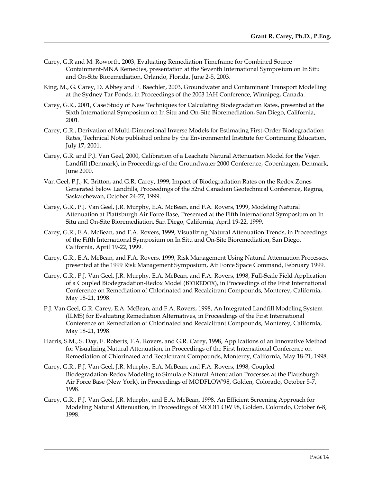- Carey, G.R and M. Roworth, 2003, Evaluating Remediation Timeframe for Combined Source Containment-MNA Remedies, presentation at the Seventh International Symposium on In Situ and On-Site Bioremediation, Orlando, Florida, June 2-5, 2003.
- King, M., G. Carey, D. Abbey and F. Baechler, 2003, Groundwater and Contaminant Transport Modelling at the Sydney Tar Ponds, in Proceedings of the 2003 IAH Conference, Winnipeg, Canada.
- Carey, G.R., 2001, Case Study of New Techniques for Calculating Biodegradation Rates, presented at the Sixth International Symposium on In Situ and On-Site Bioremediation, San Diego, California, 2001.
- Carey, G.R., Derivation of Multi-Dimensional Inverse Models for Estimating First-Order Biodegradation Rates, Technical Note published online by the Environmental Institute for Continuing Education, July 17, 2001.
- Carey, G.R. and P.J. Van Geel, 2000, Calibration of a Leachate Natural Attenuation Model for the Vejen Landfill (Denmark), in Proceedings of the Groundwater 2000 Conference, Copenhagen, Denmark, June 2000.
- Van Geel, P.J., K. Britton, and G.R. Carey, 1999, Impact of Biodegradation Rates on the Redox Zones Generated below Landfills, Proceedings of the 52nd Canadian Geotechnical Conference, Regina, Saskatchewan, October 24-27, 1999.
- Carey, G.R., P.J. Van Geel, J.R. Murphy, E.A. McBean, and F.A. Rovers, 1999, Modeling Natural Attenuation at Plattsburgh Air Force Base, Presented at the Fifth International Symposium on In Situ and On-Site Bioremediation, San Diego, California, April 19-22, 1999.
- Carey, G.R., E.A. McBean, and F.A. Rovers, 1999, Visualizing Natural Attenuation Trends, in Proceedings of the Fifth International Symposium on In Situ and On-Site Bioremediation, San Diego, California, April 19-22, 1999.
- Carey, G.R., E.A. McBean, and F.A. Rovers, 1999, Risk Management Using Natural Attenuation Processes, presented at the 1999 Risk Management Symposium, Air Force Space Command, February 1999.
- Carey, G.R., P.J. Van Geel, J.R. Murphy, E.A. McBean, and F.A. Rovers, 1998, Full-Scale Field Application of a Coupled Biodegradation-Redox Model (BIOREDOX), in Proceedings of the First International Conference on Remediation of Chlorinated and Recalcitrant Compounds, Monterey, California, May 18-21, 1998.
- P.J. Van Geel, G.R. Carey, E.A. McBean, and F.A. Rovers, 1998, An Integrated Landfill Modeling System (ILMS) for Evaluating Remediation Alternatives, in Proceedings of the First International Conference on Remediation of Chlorinated and Recalcitrant Compounds, Monterey, California, May 18-21, 1998.
- Harris, S.M., S. Day, E. Roberts, F.A. Rovers, and G.R. Carey, 1998, Applications of an Innovative Method for Visualizing Natural Attenuation, in Proceedings of the First International Conference on Remediation of Chlorinated and Recalcitrant Compounds, Monterey, California, May 18-21, 1998.
- Carey, G.R., P.J. Van Geel, J.R. Murphy, E.A. McBean, and F.A. Rovers, 1998, Coupled Biodegradation-Redox Modeling to Simulate Natural Attenuation Processes at the Plattsburgh Air Force Base (New York), in Proceedings of MODFLOW'98, Golden, Colorado, October 5-7, 1998.
- Carey, G.R., P.J. Van Geel, J.R. Murphy, and E.A. McBean, 1998, An Efficient Screening Approach for Modeling Natural Attenuation, in Proceedings of MODFLOW'98, Golden, Colorado, October 6-8, 1998.